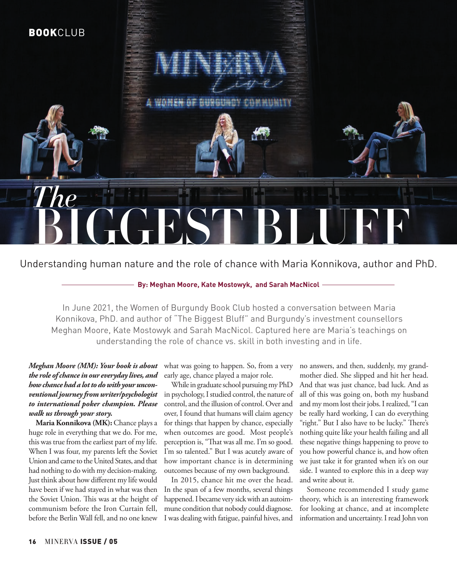

### Understanding human nature and the role of chance with Maria Konnikova, author and PhD.

### **By: Meghan Moore, Kate Mostowyk, and Sarah MacNicol**

In June 2021, the Women of Burgundy Book Club hosted a conversation between Maria Konnikova, PhD. and author of "The Biggest Bluff" and Burgundy's investment counsellors Meghan Moore, Kate Mostowyk and Sarah MacNicol. Captured here are Maria's teachings on understanding the role of chance vs. skill in both investing and in life.

#### *Meghan Moore (MM): Your book is about the role of chance in our everyday lives, and how chance had a lot to do with your unconventional journey from writer/psychologist to international poker champion. Please walk us through your story.*

**Maria Konnikova (MK):** Chance plays a huge role in everything that we do. For me, this was true from the earliest part of my life. When I was four, my parents left the Soviet Union and came to the United States, and that had nothing to do with my decision-making. Just think about how different my life would have been if we had stayed in what was then the Soviet Union. This was at the height of communism before the Iron Curtain fell, before the Berlin Wall fell, and no one knew

what was going to happen. So, from a very early age, chance played a major role.

While in graduate school pursuing my PhD in psychology, I studied control, the nature of control, and the illusion of control. Over and over, I found that humans will claim agency for things that happen by chance, especially when outcomes are good. Most people's perception is, "That was all me. I'm so good. I'm so talented." But I was acutely aware of how important chance is in determining outcomes because of my own background.

In 2015, chance hit me over the head. In the span of a few months, several things happened. I became very sick with an autoimmune condition that nobody could diagnose. I was dealing with fatigue, painful hives, and

no answers, and then, suddenly, my grandmother died. She slipped and hit her head. And that was just chance, bad luck. And as all of this was going on, both my husband and my mom lost their jobs. I realized, "I can be really hard working, I can do everything "right." But I also have to be lucky." There's nothing quite like your health failing and all these negative things happening to prove to you how powerful chance is, and how often we just take it for granted when it's on our side. I wanted to explore this in a deep way and write about it.

Someone recommended I study game theory, which is an interesting framework for looking at chance, and at incomplete information and uncertainty. I read John von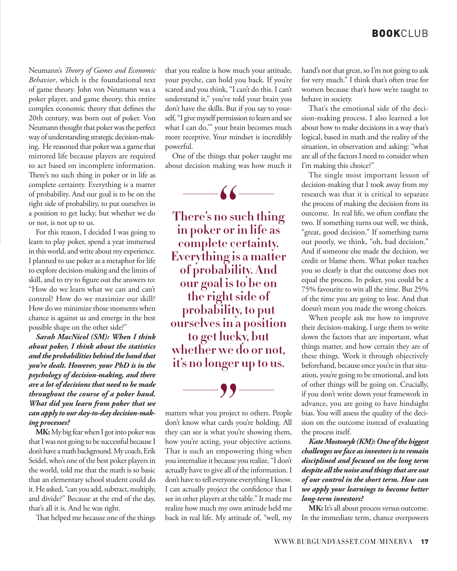Neumann's *Theory of Games and Economic Behavior*, which is the foundational text of game theory. John von Neumann was a poker player, and game theory, this entire complex economic theory that defines the 20th century, was born out of poker. Von Neumann thought that poker was the perfect way of understanding strategic decision-making. He reasoned that poker was a game that mirrored life because players are required to act based on incomplete information. There's no such thing in poker or in life as complete certainty. Everything is a matter of probability. And our goal is to be on the right side of probability, to put ourselves in a position to get lucky, but whether we do or not, is not up to us.

For this reason, I decided I was going to learn to play poker, spend a year immersed in this world, and write about my experience. I planned to use poker as a metaphor for life to explore decision-making and the limits of skill, and to try to figure out the answers to: "How do we learn what we can and can't control? How do we maximize our skill? How do we minimize those moments when chance is against us and emerge in the best possible shape on the other side?"

*Sarah MacNicol (SM): When I think about poker, I think about the statistics and the probabilities behind the hand that you're dealt. However, your PhD is in the psychology of decision-making, and there are a lot of decisions that need to be made throughout the course of a poker hand. What did you learn from poker that we can apply to our day-to-day decision-making processes?*

**MK:** My big fear when I got into poker was that I was not going to be successful because I don't have a math background. My coach, Erik Seidel, who's one of the best poker players in the world, told me that the math is so basic that an elementary school student could do it. He asked, "can you add, subtract, multiply, and divide?" Because at the end of the day, that's all it is. And he was right.

That helped me because one of the things

that you realize is how much your attitude, your psyche, can hold you back. If you're scared and you think, "I can't do this. I can't understand it," you've told your brain you don't have the skills. But if you say to yourself, "I give myself permission to learn and see what I can do," your brain becomes much more receptive. Your mindset is incredibly powerful.

One of the things that poker taught me about decision making was how much it



it's no longer up to us.<br> **1993 There's no such thing in poker or in life as complete certainty. Everything is a matter of probability. And our goal is to be on the right side of probability, to put ourselves in a position to get lucky, but whether we do or not,** 

matters what you project to others. People don't know what cards you're holding. All they can see is what you're showing them, how you're acting, your objective actions. That is such an empowering thing when you internalize it because you realize, "I don't actually have to give all of the information. I don't have to tell everyone everything I know. I can actually project the confidence that I see in other players at the table." It made me realize how much my own attitude held me back in real life. My attitude of, "well, my

hand's not that great, so I'm not going to ask for very much." I think that's often true for women because that's how we're taught to behave in society.

That's the emotional side of the decision-making process. I also learned a lot about how to make decisions in a way that's logical, based in math and the reality of the situation, in observation and asking: "what are all of the factors I need to consider when I'm making this choice?"

The single most important lesson of decision-making that I took away from my research was that it is critical to separate the process of making the decision from its outcome. In real life, we often conflate the two. If something turns out well, we think, "great, good decision." If something turns out poorly, we think, "oh, bad decision." And if someone else made the decision, we credit or blame them. What poker teaches you so clearly is that the outcome does not equal the process. In poker, you could be a 75% favourite to win all the time. But 25% of the time you are going to lose. And that doesn't mean you made the wrong choices.

When people ask me how to improve their decision-making, I urge them to write down the factors that are important, what things matter, and how certain they are of these things. Work it through objectively beforehand, because once you're in that situation, you're going to be emotional, and lots of other things will be going on. Crucially, if you don't write down your framework in advance, you are going to have hindsight bias. You will assess the quality of the decision on the outcome instead of evaluating the process itself.

*Kate Mostowyk (KM): One of the biggest challenges we face as investors is to remain disciplined and focused on the long term despite all the noise and things that are out of our control in the short term. How can we apply your learnings to become better long-term investors?*

**MK:** It's all about process versus outcome. In the immediate term, chance overpowers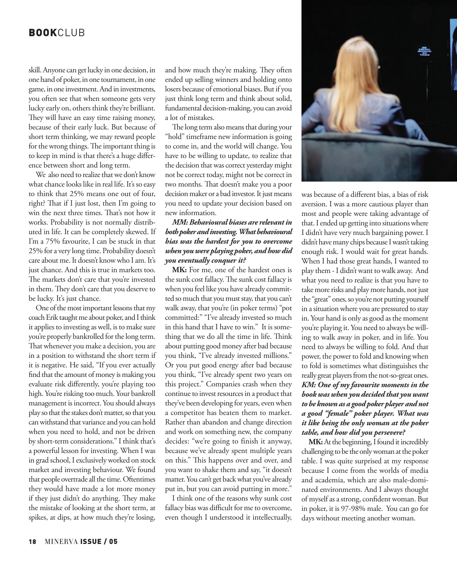# **BOOK**CLUB

skill. Anyone can get lucky in one decision, in one hand of poker, in one tournament, in one game, in one investment. And in investments, you often see that when someone gets very lucky early on, others think they're brilliant. They will have an easy time raising money, because of their early luck. But because of short term thinking, we may reward people for the wrong things. The important thing is to keep in mind is that there's a huge difference between short and long term.

We also need to realize that we don't know what chance looks like in real life. It's so easy to think that 25% means one out of four, right? That if I just lost, then I'm going to win the next three times. That's not how it works. Probability is not normally distributed in life. It can be completely skewed. If I'm a 75% favourite, I can be stuck in that 25% for a very long time. Probability doesn't care about me. It doesn't know who I am. It's just chance. And this is true in markets too. The markets don't care that you're invested in them. They don't care that you deserve to be lucky. It's just chance.

One of the most important lessons that my coach Erik taught me about poker, and I think it applies to investing as well, is to make sure you're properly bankrolled for the long term. That whenever you make a decision, you are in a position to withstand the short term if it is negative. He said, "If you ever actually find that the amount of money is making you evaluate risk differently, you're playing too high. You're risking too much. Your bankroll management is incorrect. You should always play so that the stakes don't matter, so that you can withstand that variance and you can hold when you need to hold, and not be driven by short-term considerations." I think that's a powerful lesson for investing. When I was in grad school, I exclusively worked on stock market and investing behaviour. We found that people overtrade all the time. Oftentimes they would have made a lot more money if they just didn't do anything. They make the mistake of looking at the short term, at spikes, at dips, at how much they're losing,

and how much they're making. They often ended up selling winners and holding onto losers because of emotional biases. But if you just think long term and think about solid, fundamental decision-making, you can avoid a lot of mistakes.

The long term also means that during your "hold" timeframe new information is going to come in, and the world will change. You have to be willing to update, to realize that the decision that was correct yesterday might not be correct today, might not be correct in two months. That doesn't make you a poor decision maker or a bad investor. It just means you need to update your decision based on new information.

#### *MM: Behavioural biases are relevant in both poker and investing. What behavioural bias was the hardest for you to overcome when you were playing poker, and how did you eventually conquer it?*

MK: For me, one of the hardest ones is the sunk cost fallacy. The sunk cost fallacy is when you feel like you have already committed so much that you must stay, that you can't walk away, that you're (in poker terms) "pot committed:" "I've already invested so much in this hand that I have to win." It is something that we do all the time in life. Think about putting good money after bad because you think, "I've already invested millions." Or you put good energy after bad because you think, "I've already spent two years on this project." Companies crash when they continue to invest resources in a product that they've been developing for years, even when a competitor has beaten them to market. Rather than abandon and change direction and work on something new, the company decides: "we're going to finish it anyway, because we've already spent multiple years on this." This happens over and over, and you want to shake them and say, "it doesn't matter. You can't get back what you've already put in, but you can avoid putting in more."

I think one of the reasons why sunk cost fallacy bias was difficult for me to overcome, even though I understood it intellectually,



was because of a different bias, a bias of risk aversion. I was a more cautious player than most and people were taking advantage of that. I ended up getting into situations where I didn't have very much bargaining power. I didn't have many chips because I wasn't taking enough risk. I would wait for great hands. When I had those great hands, I wanted to play them - I didn't want to walk away. And what you need to realize is that you have to take more risks and play more hands, not just the "great" ones, so you're not putting yourself in a situation where you are pressured to stay in. Your hand is only as good as the moment you're playing it. You need to always be willing to walk away in poker, and in life. You need to always be willing to fold. And that power, the power to fold and knowing when to fold is sometimes what distinguishes the really great players from the not-so-great ones. *KM: One of my favourite moments in the book was when you decided that you want to be known as a good poker player and not a good "female" poker player. What was it like being the only woman at the poker table, and how did you persevere?*

**MK:** At the beginning, I found it incredibly challenging to be the only woman at the poker table. I was quite surprised at my response because I come from the worlds of media and academia, which are also male-dominated environments. And I always thought of myself as a strong, confident woman. But in poker, it is 97-98% male. You can go for days without meeting another woman.